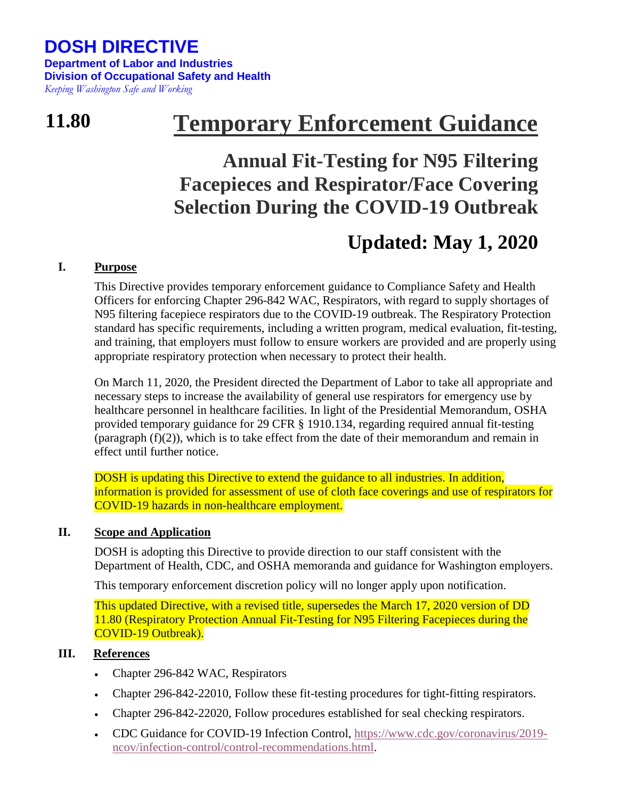## **DOSH DIRECTIVE Department of Labor and Industries Division of Occupational Safety and Health** *Keeping Washington Safe and Working*

# **11.80 Temporary Enforcement Guidance**

## **Annual Fit-Testing for N95 Filtering Facepieces and Respirator/Face Covering Selection During the COVID-19 Outbreak**

## **Updated: May 1, 2020**

## **I. Purpose**

This Directive provides temporary enforcement guidance to Compliance Safety and Health Officers for enforcing Chapter 296-842 WAC, Respirators, with regard to supply shortages of N95 filtering facepiece respirators due to the COVID-19 outbreak. The Respiratory Protection standard has specific requirements, including a written program, medical evaluation, fit-testing, and training, that employers must follow to ensure workers are provided and are properly using appropriate respiratory protection when necessary to protect their health.

On March 11, 2020, the President directed the Department of Labor to take all appropriate and necessary steps to increase the availability of general use respirators for emergency use by healthcare personnel in healthcare facilities. In light of the Presidential Memorandum, OSHA provided temporary guidance for 29 CFR § 1910.134, regarding required annual fit-testing (paragraph  $(f)(2)$ ), which is to take effect from the date of their memorandum and remain in effect until further notice.

DOSH is updating this Directive to extend the guidance to all industries. In addition, information is provided for assessment of use of cloth face coverings and use of respirators for COVID-19 hazards in non-healthcare employment.

### **II. Scope and Application**

DOSH is adopting this Directive to provide direction to our staff consistent with the Department of Health, CDC, and OSHA memoranda and guidance for Washington employers.

This temporary enforcement discretion policy will no longer apply upon notification.

This updated Directive, with a revised title, supersedes the March 17, 2020 version of DD 11.80 (Respiratory Protection Annual Fit-Testing for N95 Filtering Facepieces during the COVID-19 Outbreak).

### **III. References**

- Chapter 296-842 WAC, Respirators
- Chapter 296-842-22010, Follow these fit-testing procedures for tight-fitting respirators.
- Chapter 296-842-22020, Follow procedures established for seal checking respirators.
- CDC Guidance for COVID-19 Infection Control, [https://www.cdc.gov/coronavirus/2019](https://www.cdc.gov/coronavirus/2019-ncov/infection-control/control-recommendations.html) [ncov/infection-control/control-recommendations.html.](https://www.cdc.gov/coronavirus/2019-ncov/infection-control/control-recommendations.html)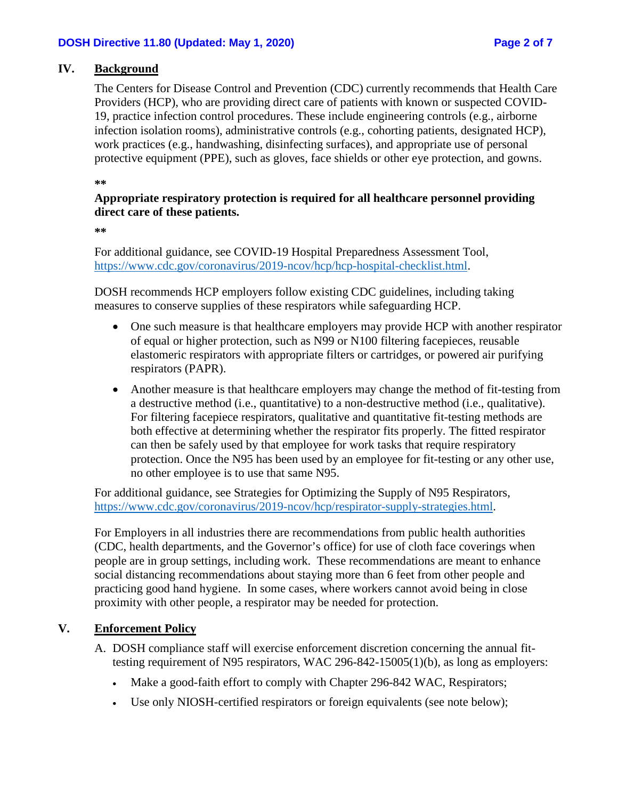## **IV. Background**

The Centers for Disease Control and Prevention (CDC) currently recommends that Health Care Providers (HCP), who are providing direct care of patients with known or suspected COVID-19, practice infection control procedures. These include engineering controls (e.g., airborne infection isolation rooms), administrative controls (e.g., cohorting patients, designated HCP), work practices (e.g., handwashing, disinfecting surfaces), and appropriate use of personal protective equipment (PPE), such as gloves, face shields or other eye protection, and gowns.

**\*\***

### **Appropriate respiratory protection is required for all healthcare personnel providing direct care of these patients.**

**\*\***

For additional guidance, see COVID-19 Hospital Preparedness Assessment Tool, [https://www.cdc.gov/coronavirus/2019-ncov/hcp/hcp-hospital-checklist.html.](https://www.cdc.gov/coronavirus/2019-ncov/hcp/hcp-hospital-checklist.html)

DOSH recommends HCP employers follow existing CDC guidelines, including taking measures to conserve supplies of these respirators while safeguarding HCP.

- One such measure is that healthcare employers may provide HCP with another respirator of equal or higher protection, such as N99 or N100 filtering facepieces, reusable elastomeric respirators with appropriate filters or cartridges, or powered air purifying respirators (PAPR).
- Another measure is that healthcare employers may change the method of fit-testing from a destructive method (i.e., quantitative) to a non-destructive method (i.e., qualitative). For filtering facepiece respirators, qualitative and quantitative fit-testing methods are both effective at determining whether the respirator fits properly. The fitted respirator can then be safely used by that employee for work tasks that require respiratory protection. Once the N95 has been used by an employee for fit-testing or any other use, no other employee is to use that same N95.

For additional guidance, see Strategies for Optimizing the Supply of N95 Respirators, [https://www.cdc.gov/coronavirus/2019-ncov/hcp/respirator-supply-strategies.html.](https://www.cdc.gov/coronavirus/2019-ncov/hcp/respirator-supply-strategies.html)

For Employers in all industries there are recommendations from public health authorities (CDC, health departments, and the Governor's office) for use of cloth face coverings when people are in group settings, including work. These recommendations are meant to enhance social distancing recommendations about staying more than 6 feet from other people and practicing good hand hygiene. In some cases, where workers cannot avoid being in close proximity with other people, a respirator may be needed for protection.

## **V. Enforcement Policy**

- A. DOSH compliance staff will exercise enforcement discretion concerning the annual fittesting requirement of N95 respirators, WAC 296-842-15005(1)(b), as long as employers:
	- Make a good-faith effort to comply with Chapter 296-842 WAC, Respirators;
	- Use only NIOSH-certified respirators or foreign equivalents (see note below);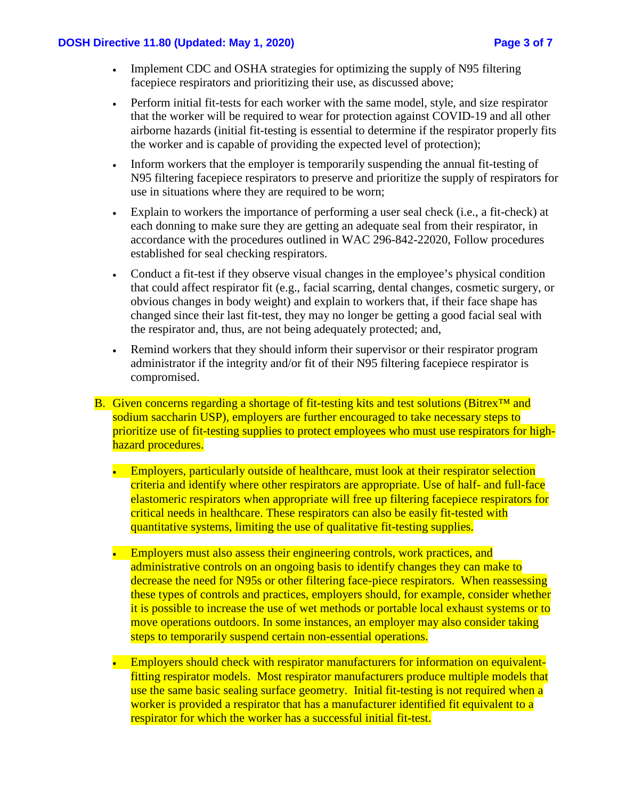#### **DOSH Directive 11.80 (Updated: May 1, 2020) Page 3 of 7**

- Implement CDC and OSHA strategies for optimizing the supply of N95 filtering facepiece respirators and prioritizing their use, as discussed above;
- Perform initial fit-tests for each worker with the same model, style, and size respirator that the worker will be required to wear for protection against COVID-19 and all other airborne hazards (initial fit-testing is essential to determine if the respirator properly fits the worker and is capable of providing the expected level of protection);
- Inform workers that the employer is temporarily suspending the annual fit-testing of N95 filtering facepiece respirators to preserve and prioritize the supply of respirators for use in situations where they are required to be worn;
- Explain to workers the importance of performing a user seal check (i.e., a fit-check) at each donning to make sure they are getting an adequate seal from their respirator, in accordance with the procedures outlined in WAC 296-842-22020, Follow procedures established for seal checking respirators.
- Conduct a fit-test if they observe visual changes in the employee's physical condition that could affect respirator fit (e.g., facial scarring, dental changes, cosmetic surgery, or obvious changes in body weight) and explain to workers that, if their face shape has changed since their last fit-test, they may no longer be getting a good facial seal with the respirator and, thus, are not being adequately protected; and,
- Remind workers that they should inform their supervisor or their respirator program administrator if the integrity and/or fit of their N95 filtering facepiece respirator is compromised.
- B. Given concerns regarding a shortage of fit-testing kits and test solutions (Bitrex<sup>™</sup> and sodium saccharin USP), employers are further encouraged to take necessary steps to prioritize use of fit-testing supplies to protect employees who must use respirators for highhazard procedures.
	- Employers, particularly outside of healthcare, must look at their respirator selection criteria and identify where other respirators are appropriate. Use of half- and full-face elastomeric respirators when appropriate will free up filtering facepiece respirators for critical needs in healthcare. These respirators can also be easily fit-tested with quantitative systems, limiting the use of qualitative fit-testing supplies.
	- Employers must also assess their engineering controls, work practices, and administrative controls on an ongoing basis to identify changes they can make to decrease the need for N95s or other filtering face-piece respirators. When reassessing these types of controls and practices, employers should, for example, consider whether it is possible to increase the use of wet methods or portable local exhaust systems or to move operations outdoors. In some instances, an employer may also consider taking steps to temporarily suspend certain non-essential operations.
	- Employers should check with respirator manufacturers for information on equivalentfitting respirator models. Most respirator manufacturers produce multiple models that use the same basic sealing surface geometry. Initial fit-testing is not required when a worker is provided a respirator that has a manufacturer identified fit equivalent to a respirator for which the worker has a successful initial fit-test.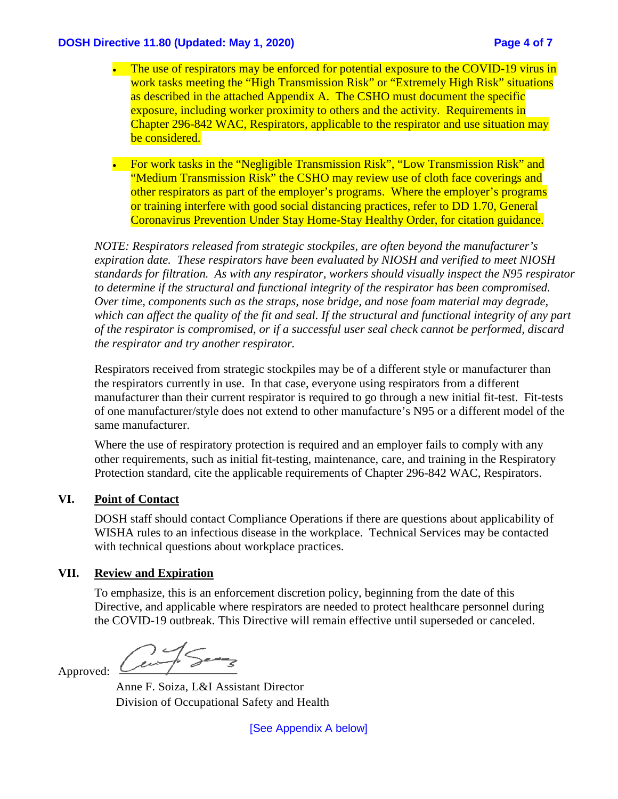#### **DOSH Directive 11.80 (Updated: May 1, 2020) Page 4 of 7**

- The use of respirators may be enforced for potential exposure to the COVID-19 virus in work tasks meeting the "High Transmission Risk" or "Extremely High Risk" situations as described in the attached Appendix A. The CSHO must document the specific exposure, including worker proximity to others and the activity. Requirements in Chapter 296-842 WAC, Respirators, applicable to the respirator and use situation may be considered.
- For work tasks in the "Negligible Transmission Risk", "Low Transmission Risk" and "Medium Transmission Risk" the CSHO may review use of cloth face coverings and other respirators as part of the employer's programs. Where the employer's programs or training interfere with good social distancing practices, refer to DD 1.70, General Coronavirus Prevention Under Stay Home-Stay Healthy Order, for citation guidance.

*NOTE: Respirators released from strategic stockpiles, are often beyond the manufacturer's expiration date. These respirators have been evaluated by NIOSH and verified to meet NIOSH standards for filtration. As with any respirator, workers should visually inspect the N95 respirator to determine if the structural and functional integrity of the respirator has been compromised. Over time, components such as the straps, nose bridge, and nose foam material may degrade, which can affect the quality of the fit and seal. If the structural and functional integrity of any part of the respirator is compromised, or if a successful user seal check cannot be performed, discard the respirator and try another respirator.*

Respirators received from strategic stockpiles may be of a different style or manufacturer than the respirators currently in use. In that case, everyone using respirators from a different manufacturer than their current respirator is required to go through a new initial fit-test. Fit-tests of one manufacturer/style does not extend to other manufacture's N95 or a different model of the same manufacturer.

Where the use of respiratory protection is required and an employer fails to comply with any other requirements, such as initial fit-testing, maintenance, care, and training in the Respiratory Protection standard, cite the applicable requirements of Chapter 296-842 WAC, Respirators.

#### **VI. Point of Contact**

DOSH staff should contact Compliance Operations if there are questions about applicability of WISHA rules to an infectious disease in the workplace. Technical Services may be contacted with technical questions about workplace practices.

#### **VII. Review and Expiration**

To emphasize, this is an enforcement discretion policy, beginning from the date of this Directive, and applicable where respirators are needed to protect healthcare personnel during the COVID-19 outbreak. This Directive will remain effective until superseded or canceled.

Approved:  $\mathcal{L}$ 

 Anne F. Soiza, L&I Assistant Director Division of Occupational Safety and Health

[See Appendix A below]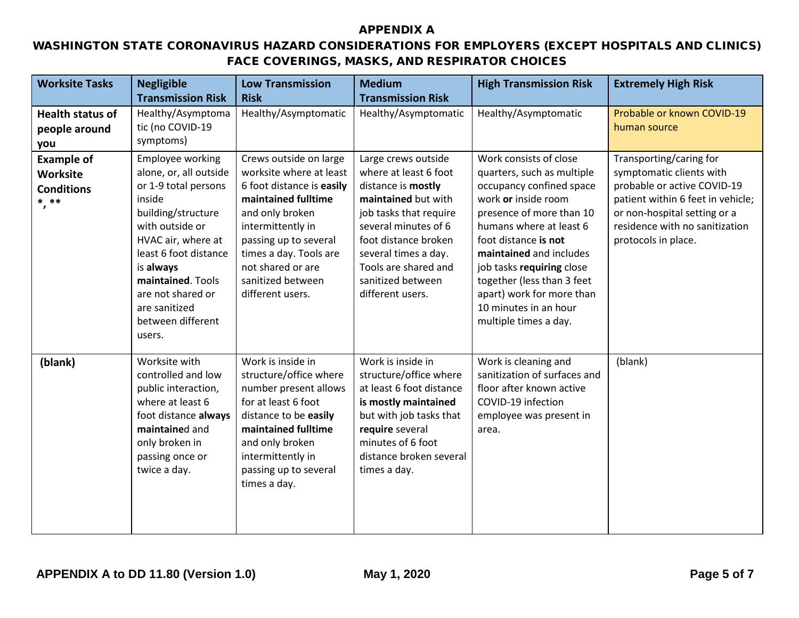#### APPENDIX A

## WASHINGTON STATE CORONAVIRUS HAZARD CONSIDERATIONS FOR EMPLOYERS (EXCEPT HOSPITALS AND CLINICS) FACE COVERINGS, MASKS, AND RESPIRATOR CHOICES

| <b>Worksite Tasks</b>                                                | <b>Negligible</b>                                                                                                                                                                                                                                                           | <b>Low Transmission</b>                                                                                                                                                                                                                                        | <b>Medium</b>                                                                                                                                                                                                                                                | <b>High Transmission Risk</b>                                                                                                                                                                                                                                                                                                                               | <b>Extremely High Risk</b>                                                                                                                                                                                       |
|----------------------------------------------------------------------|-----------------------------------------------------------------------------------------------------------------------------------------------------------------------------------------------------------------------------------------------------------------------------|----------------------------------------------------------------------------------------------------------------------------------------------------------------------------------------------------------------------------------------------------------------|--------------------------------------------------------------------------------------------------------------------------------------------------------------------------------------------------------------------------------------------------------------|-------------------------------------------------------------------------------------------------------------------------------------------------------------------------------------------------------------------------------------------------------------------------------------------------------------------------------------------------------------|------------------------------------------------------------------------------------------------------------------------------------------------------------------------------------------------------------------|
|                                                                      | <b>Transmission Risk</b>                                                                                                                                                                                                                                                    | <b>Risk</b>                                                                                                                                                                                                                                                    | <b>Transmission Risk</b>                                                                                                                                                                                                                                     |                                                                                                                                                                                                                                                                                                                                                             |                                                                                                                                                                                                                  |
| <b>Health status of</b><br>people around<br>you                      | Healthy/Asymptoma<br>tic (no COVID-19<br>symptoms)                                                                                                                                                                                                                          | Healthy/Asymptomatic                                                                                                                                                                                                                                           | Healthy/Asymptomatic                                                                                                                                                                                                                                         | Healthy/Asymptomatic                                                                                                                                                                                                                                                                                                                                        | Probable or known COVID-19<br>human source                                                                                                                                                                       |
| <b>Example of</b><br><b>Worksite</b><br><b>Conditions</b><br>$*, **$ | Employee working<br>alone, or, all outside<br>or 1-9 total persons<br>inside<br>building/structure<br>with outside or<br>HVAC air, where at<br>least 6 foot distance<br>is always<br>maintained. Tools<br>are not shared or<br>are sanitized<br>between different<br>users. | Crews outside on large<br>worksite where at least<br>6 foot distance is easily<br>maintained fulltime<br>and only broken<br>intermittently in<br>passing up to several<br>times a day. Tools are<br>not shared or are<br>sanitized between<br>different users. | Large crews outside<br>where at least 6 foot<br>distance is mostly<br>maintained but with<br>job tasks that require<br>several minutes of 6<br>foot distance broken<br>several times a day.<br>Tools are shared and<br>sanitized between<br>different users. | Work consists of close<br>quarters, such as multiple<br>occupancy confined space<br>work or inside room<br>presence of more than 10<br>humans where at least 6<br>foot distance is not<br>maintained and includes<br>job tasks requiring close<br>together (less than 3 feet<br>apart) work for more than<br>10 minutes in an hour<br>multiple times a day. | Transporting/caring for<br>symptomatic clients with<br>probable or active COVID-19<br>patient within 6 feet in vehicle;<br>or non-hospital setting or a<br>residence with no sanitization<br>protocols in place. |
| (blank)                                                              | Worksite with<br>controlled and low<br>public interaction,<br>where at least 6<br>foot distance always<br>maintained and<br>only broken in<br>passing once or<br>twice a day.                                                                                               | Work is inside in<br>structure/office where<br>number present allows<br>for at least 6 foot<br>distance to be easily<br>maintained fulltime<br>and only broken<br>intermittently in<br>passing up to several<br>times a day.                                   | Work is inside in<br>structure/office where<br>at least 6 foot distance<br>is mostly maintained<br>but with job tasks that<br>require several<br>minutes of 6 foot<br>distance broken several<br>times a day.                                                | Work is cleaning and<br>sanitization of surfaces and<br>floor after known active<br>COVID-19 infection<br>employee was present in<br>area.                                                                                                                                                                                                                  | (blank)                                                                                                                                                                                                          |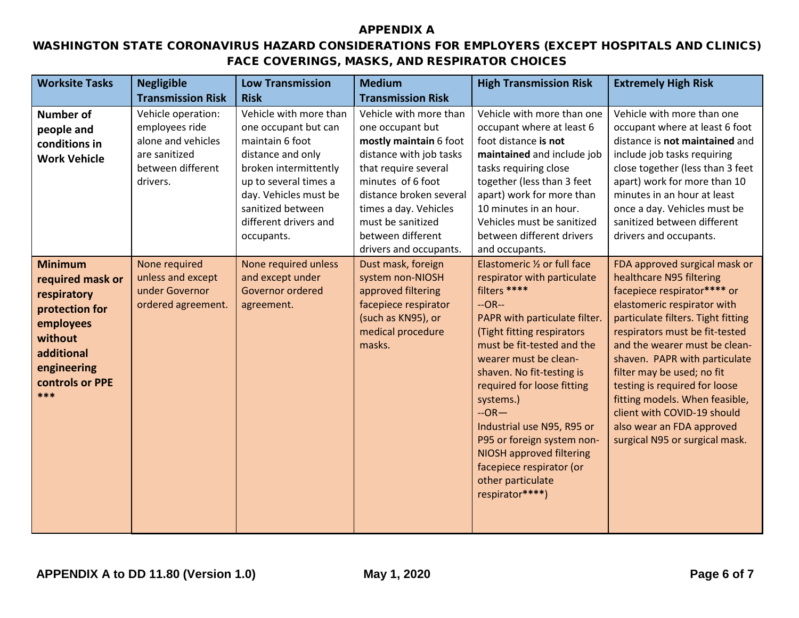#### APPENDIX A

## WASHINGTON STATE CORONAVIRUS HAZARD CONSIDERATIONS FOR EMPLOYERS (EXCEPT HOSPITALS AND CLINICS) FACE COVERINGS, MASKS, AND RESPIRATOR CHOICES

| <b>Worksite Tasks</b>                                                                                                                              | <b>Negligible</b><br><b>Transmission Risk</b>                                                                | <b>Low Transmission</b><br><b>Risk</b>                                                                                                                                                                                        | <b>Medium</b><br><b>Transmission Risk</b>                                                                                                                                                                                                                            | <b>High Transmission Risk</b>                                                                                                                                                                                                                                                                                                                                                                                                                                    | <b>Extremely High Risk</b>                                                                                                                                                                                                                                                                                                                                                                                                                                       |
|----------------------------------------------------------------------------------------------------------------------------------------------------|--------------------------------------------------------------------------------------------------------------|-------------------------------------------------------------------------------------------------------------------------------------------------------------------------------------------------------------------------------|----------------------------------------------------------------------------------------------------------------------------------------------------------------------------------------------------------------------------------------------------------------------|------------------------------------------------------------------------------------------------------------------------------------------------------------------------------------------------------------------------------------------------------------------------------------------------------------------------------------------------------------------------------------------------------------------------------------------------------------------|------------------------------------------------------------------------------------------------------------------------------------------------------------------------------------------------------------------------------------------------------------------------------------------------------------------------------------------------------------------------------------------------------------------------------------------------------------------|
| <b>Number of</b><br>people and<br>conditions in<br><b>Work Vehicle</b>                                                                             | Vehicle operation:<br>employees ride<br>alone and vehicles<br>are sanitized<br>between different<br>drivers. | Vehicle with more than<br>one occupant but can<br>maintain 6 foot<br>distance and only<br>broken intermittently<br>up to several times a<br>day. Vehicles must be<br>sanitized between<br>different drivers and<br>occupants. | Vehicle with more than<br>one occupant but<br>mostly maintain 6 foot<br>distance with job tasks<br>that require several<br>minutes of 6 foot<br>distance broken several<br>times a day. Vehicles<br>must be sanitized<br>between different<br>drivers and occupants. | Vehicle with more than one<br>occupant where at least 6<br>foot distance is not<br>maintained and include job<br>tasks requiring close<br>together (less than 3 feet<br>apart) work for more than<br>10 minutes in an hour.<br>Vehicles must be sanitized<br>between different drivers<br>and occupants.                                                                                                                                                         | Vehicle with more than one<br>occupant where at least 6 foot<br>distance is not maintained and<br>include job tasks requiring<br>close together (less than 3 feet<br>apart) work for more than 10<br>minutes in an hour at least<br>once a day. Vehicles must be<br>sanitized between different<br>drivers and occupants.                                                                                                                                        |
| <b>Minimum</b><br>required mask or<br>respiratory<br>protection for<br>employees<br>without<br>additional<br>engineering<br>controls or PPE<br>*** | None required<br>unless and except<br>under Governor<br>ordered agreement.                                   | None required unless<br>and except under<br>Governor ordered<br>agreement.                                                                                                                                                    | Dust mask, foreign<br>system non-NIOSH<br>approved filtering<br>facepiece respirator<br>(such as KN95), or<br>medical procedure<br>masks.                                                                                                                            | Elastomeric 1/2 or full face<br>respirator with particulate<br>filters ****<br>$-OR-$<br>PAPR with particulate filter.<br>(Tight fitting respirators<br>must be fit-tested and the<br>wearer must be clean-<br>shaven. No fit-testing is<br>required for loose fitting<br>systems.)<br>$-OR-$<br>Industrial use N95, R95 or<br>P95 or foreign system non-<br><b>NIOSH approved filtering</b><br>facepiece respirator (or<br>other particulate<br>respirator****) | FDA approved surgical mask or<br>healthcare N95 filtering<br>facepiece respirator**** or<br>elastomeric respirator with<br>particulate filters. Tight fitting<br>respirators must be fit-tested<br>and the wearer must be clean-<br>shaven. PAPR with particulate<br>filter may be used; no fit<br>testing is required for loose<br>fitting models. When feasible,<br>client with COVID-19 should<br>also wear an FDA approved<br>surgical N95 or surgical mask. |